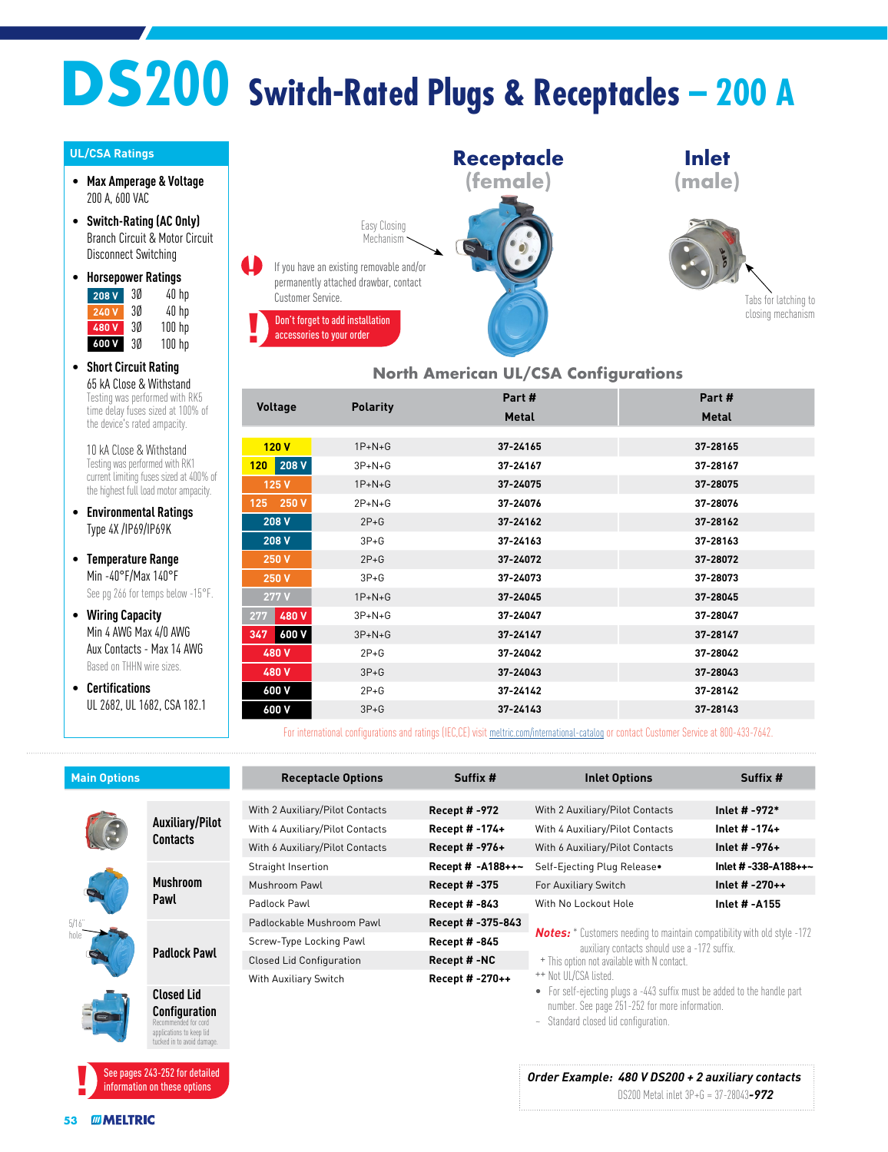# **DS200 Switch-Rated Plugs & Receptacles – 200 A**

#### **UL/CSA Ratings**

- **Max Amperage & Voltage** 200 A, 600 VAC
- **Switch-Rating (AC Only)** Branch Circuit & Motor Circuit Disconnect Switching

| ٠ | <b>Horsepower Ratings</b> |    |            |
|---|---------------------------|----|------------|
|   |                           | n۵ | $\sqrt{n}$ |

| 208 V        | 30 | 40 hp    |
|--------------|----|----------|
| <b>240 V</b> | 30 | 40 hp    |
| 480V         | 30 | $100$ hp |
| 600V         | 30 | 100 hp   |

• **Short Circuit Rating** 65 kA Close & Withstand Testing was performed with RK5 time delay fuses sized at 100% of the device's rated ampacity.

10 kA Close & Withstand Testing was performed with RK1 current limiting fuses sized at 400% of the highest full load motor ampacity.

• **Environmental Ratings** Type 4X /IP69/IP69K

• **Temperature Range** Min -40°F/Max 140°F See pg 266 for temps below -15°F.

- **Wiring Capacity** Min 4 AWG Max 4/0 AWG Aux Contacts - Max 14 AWG Based on THHN wire sizes.
- **Certifications** UL 2682, UL 1682, CSA 182.1



#### **North American UL/CSA Configurations**

|                |                 | Part #       | Part#        |
|----------------|-----------------|--------------|--------------|
| <b>Voltage</b> | <b>Polarity</b> | <b>Metal</b> | <b>Metal</b> |
|                |                 |              |              |
| 120V           | $1P + N + G$    | 37-24165     | 37-28165     |
| $120$ 208 V    | $3P + N + G$    | 37-24167     | 37-28167     |
| 125 V          | $1P+N+G$        | 37-24075     | 37-28075     |
| 125 250 V      | $2P + N + G$    | 37-24076     | 37-28076     |
| 208 V          | $2P + G$        | 37-24162     | 37-28162     |
| 208 V          | $3P + G$        | 37-24163     | 37-28163     |
| 250 V          | $2P + G$        | 37-24072     | 37-28072     |
| 250 V          | $3P + G$        | 37-24073     | 37-28073     |
| $277$ V        | $1P+N+G$        | 37-24045     | 37-28045     |
| 480 V<br>277   | $3P + N + G$    | 37-24047     | 37-28047     |
| 600 V<br>347   | $3P + N + G$    | 37-24147     | 37-28147     |
| 480 V          | $2P+G$          | 37-24042     | 37-28042     |
| 480 V          | $3P + G$        | 37-24043     | 37-28043     |
| 600 V          | $2P+G$          | 37-24142     | 37-28142     |
| 600 V          | $3P+G$          | 37-24143     | 37-28143     |

For international configurations and ratings (IEC,CE) visit [meltric.com/international-catalog](https://meltric.com/media/contentmanager/content/MARECHAL_Full_Catalogue_EN_1.pdf) or contact Customer Service at 800-433-7642.

| <b>Main Options</b> |                                                                                                        | <b>Receptacle Options</b>       | Suffix #             | <b>Inlet Options</b>                                                                                                                                                                                    | Suffix #             |
|---------------------|--------------------------------------------------------------------------------------------------------|---------------------------------|----------------------|---------------------------------------------------------------------------------------------------------------------------------------------------------------------------------------------------------|----------------------|
|                     |                                                                                                        |                                 |                      |                                                                                                                                                                                                         |                      |
|                     | <b>Auxiliary/Pilot</b><br><b>Contacts</b>                                                              | With 2 Auxiliary/Pilot Contacts | <b>Recept # -972</b> | With 2 Auxiliary/Pilot Contacts                                                                                                                                                                         | Inlet # -972*        |
|                     |                                                                                                        | With 4 Auxiliary/Pilot Contacts | Recept # -174+       | With 4 Auxiliary/Pilot Contacts                                                                                                                                                                         | Inlet $# -174 +$     |
|                     |                                                                                                        | With 6 Auxiliary/Pilot Contacts | Recept # -976+       | With 6 Auxiliary/Pilot Contacts                                                                                                                                                                         | Inlet # $-976+$      |
|                     | <b>Mushroom</b><br>Pawl                                                                                | Straight Insertion              | Recept # -A188++~    | Self-Ejecting Plug Release.                                                                                                                                                                             | Inlet # -338-A188++~ |
|                     |                                                                                                        | Mushroom Pawl                   | Recept # -375        | For Auxiliary Switch                                                                                                                                                                                    | Inlet # $-270++$     |
|                     |                                                                                                        | Padlock Pawl                    | <b>Recept # -843</b> | With No Lockout Hole                                                                                                                                                                                    | Inlet # -A155        |
| 5/16                | <b>Padlock Pawl</b>                                                                                    | Padlockable Mushroom Pawl       | Recept # -375-843    | <b>Notes:</b> * Customers needing to maintain compatibility with old style -172<br>auxiliary contacts should use a -172 suffix.<br>+ This option not available with N contact.<br>++ Not UL/CSA listed. |                      |
|                     |                                                                                                        | Screw-Type Locking Pawl         | <b>Recept # -845</b> |                                                                                                                                                                                                         |                      |
|                     |                                                                                                        | <b>Closed Lid Configuration</b> | Recept #-NC          |                                                                                                                                                                                                         |                      |
|                     |                                                                                                        | With Auxiliary Switch           | Recept # -270++      |                                                                                                                                                                                                         |                      |
|                     | <b>Closed Lid</b>                                                                                      |                                 |                      | For self-ejecting plugs a -443 suffix must be added to the handle part<br>$\bullet$                                                                                                                     |                      |
|                     | <b>Configuration</b><br>Recommended for corr<br>applications to keep lid<br>tucked in to avoid damage. |                                 |                      | number. See page 251-252 for more information.<br>Standard closed lid configuration.<br>$\sim$                                                                                                          |                      |

#### *Order Example: 480 V DS200 + 2 auxiliary contacts*

DS200 Metal inlet 3P+G = 37-28043*-972*

See pages 243-252 for detailed information on these options